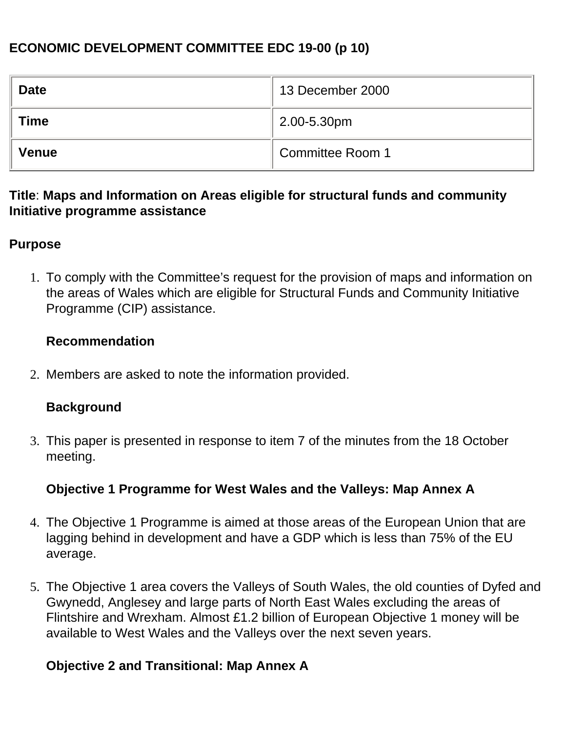### **ECONOMIC DEVELOPMENT COMMITTEE EDC 19-00 (p 10)**

| <b>Date</b>  | 13 December 2000 |
|--------------|------------------|
| <b>Time</b>  | 2.00-5.30pm      |
| <b>Venue</b> | Committee Room 1 |

#### **Title**: **Maps and Information on Areas eligible for structural funds and community Initiative programme assistance**

#### **Purpose**

1. To comply with the Committee's request for the provision of maps and information on the areas of Wales which are eligible for Structural Funds and Community Initiative Programme (CIP) assistance.

#### **Recommendation**

2. Members are asked to note the information provided.

#### **Background**

3. This paper is presented in response to item 7 of the minutes from the 18 October meeting.

#### **Objective 1 Programme for West Wales and the Valleys: Map Annex A**

- 4. The Objective 1 Programme is aimed at those areas of the European Union that are lagging behind in development and have a GDP which is less than 75% of the EU average.
- 5. The Objective 1 area covers the Valleys of South Wales, the old counties of Dyfed and Gwynedd, Anglesey and large parts of North East Wales excluding the areas of Flintshire and Wrexham. Almost £1.2 billion of European Objective 1 money will be available to West Wales and the Valleys over the next seven years.

#### **Objective 2 and Transitional: Map Annex A**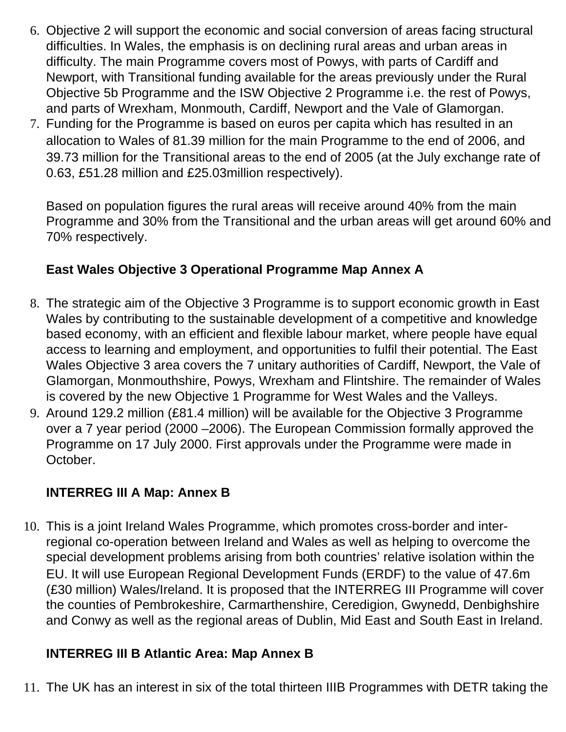- 6. Objective 2 will support the economic and social conversion of areas facing structural difficulties. In Wales, the emphasis is on declining rural areas and urban areas in difficulty. The main Programme covers most of Powys, with parts of Cardiff and Newport, with Transitional funding available for the areas previously under the Rural Objective 5b Programme and the ISW Objective 2 Programme i.e. the rest of Powys, and parts of Wrexham, Monmouth, Cardiff, Newport and the Vale of Glamorgan.
- 7. Funding for the Programme is based on euros per capita which has resulted in an allocation to Wales of €81.39 million for the main Programme to the end of 2006, and €39.73 million for the Transitional areas to the end of 2005 (at the July exchange rate of 0.63, £51.28 million and £25.03million respectively).

Based on population figures the rural areas will receive around 40% from the main Programme and 30% from the Transitional and the urban areas will get around 60% and 70% respectively.

## **East Wales Objective 3 Operational Programme Map Annex A**

- 8. The strategic aim of the Objective 3 Programme is to support economic growth in East Wales by contributing to the sustainable development of a competitive and knowledge based economy, with an efficient and flexible labour market, where people have equal access to learning and employment, and opportunities to fulfil their potential. The East Wales Objective 3 area covers the 7 unitary authorities of Cardiff, Newport, the Vale of Glamorgan, Monmouthshire, Powys, Wrexham and Flintshire. The remainder of Wales is covered by the new Objective 1 Programme for West Wales and the Valleys.
- 9. Around €129.2 million (£81.4 million) will be available for the Objective 3 Programme over a 7 year period (2000 –2006). The European Commission formally approved the Programme on 17 July 2000. First approvals under the Programme were made in October.

### **INTERREG III A Map: Annex B**

10. This is a joint Ireland Wales Programme, which promotes cross-border and interregional co-operation between Ireland and Wales as well as helping to overcome the special development problems arising from both countries' relative isolation within the EU. It will use European Regional Development Funds (ERDF) to the value of  $\epsilon$ 47.6m (£30 million) Wales/Ireland. It is proposed that the INTERREG III Programme will cover the counties of Pembrokeshire, Carmarthenshire, Ceredigion, Gwynedd, Denbighshire and Conwy as well as the regional areas of Dublin, Mid East and South East in Ireland.

### **INTERREG III B Atlantic Area: Map Annex B**

11. The UK has an interest in six of the total thirteen IIIB Programmes with DETR taking the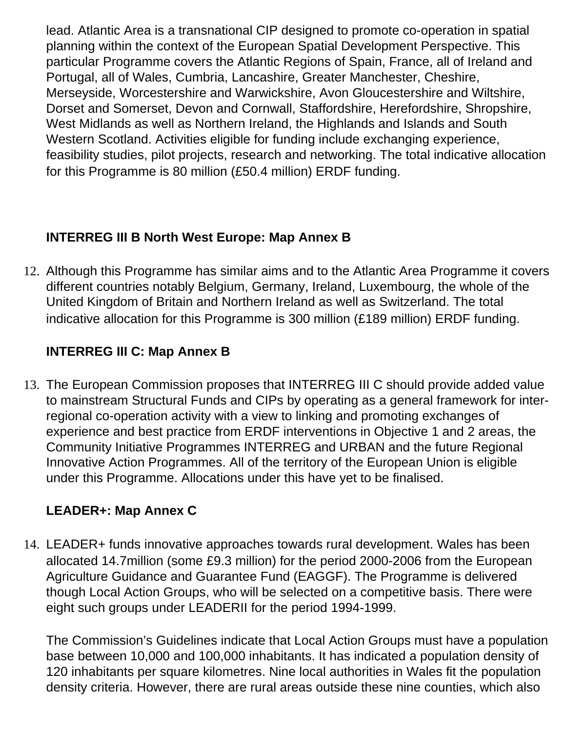lead. Atlantic Area is a transnational CIP designed to promote co-operation in spatial planning within the context of the European Spatial Development Perspective. This particular Programme covers the Atlantic Regions of Spain, France, all of Ireland and Portugal, all of Wales, Cumbria, Lancashire, Greater Manchester, Cheshire, Merseyside, Worcestershire and Warwickshire, Avon Gloucestershire and Wiltshire, Dorset and Somerset, Devon and Cornwall, Staffordshire, Herefordshire, Shropshire, West Midlands as well as Northern Ireland, the Highlands and Islands and South Western Scotland. Activities eligible for funding include exchanging experience, feasibility studies, pilot projects, research and networking. The total indicative allocation for this Programme is  $\in$ 80 million (£50.4 million) ERDF funding.

## **INTERREG III B North West Europe: Map Annex B**

12. Although this Programme has similar aims and to the Atlantic Area Programme it covers different countries notably Belgium, Germany, Ireland, Luxembourg, the whole of the United Kingdom of Britain and Northern Ireland as well as Switzerland. The total indicative allocation for this Programme is  $\epsilon$ 300 million (£189 million) ERDF funding.

# **INTERREG III C: Map Annex B**

13. The European Commission proposes that INTERREG III C should provide added value to mainstream Structural Funds and CIPs by operating as a general framework for interregional co-operation activity with a view to linking and promoting exchanges of experience and best practice from ERDF interventions in Objective 1 and 2 areas, the Community Initiative Programmes INTERREG and URBAN and the future Regional Innovative Action Programmes. All of the territory of the European Union is eligible under this Programme. Allocations under this have yet to be finalised.

# **LEADER+: Map Annex C**

14. LEADER+ funds innovative approaches towards rural development. Wales has been allocated €14.7million (some £9.3 million) for the period 2000-2006 from the European Agriculture Guidance and Guarantee Fund (EAGGF). The Programme is delivered though Local Action Groups, who will be selected on a competitive basis. There were eight such groups under LEADERII for the period 1994-1999.

The Commission's Guidelines indicate that Local Action Groups must have a population base between 10,000 and 100,000 inhabitants. It has indicated a population density of 120 inhabitants per square kilometres. Nine local authorities in Wales fit the population density criteria. However, there are rural areas outside these nine counties, which also